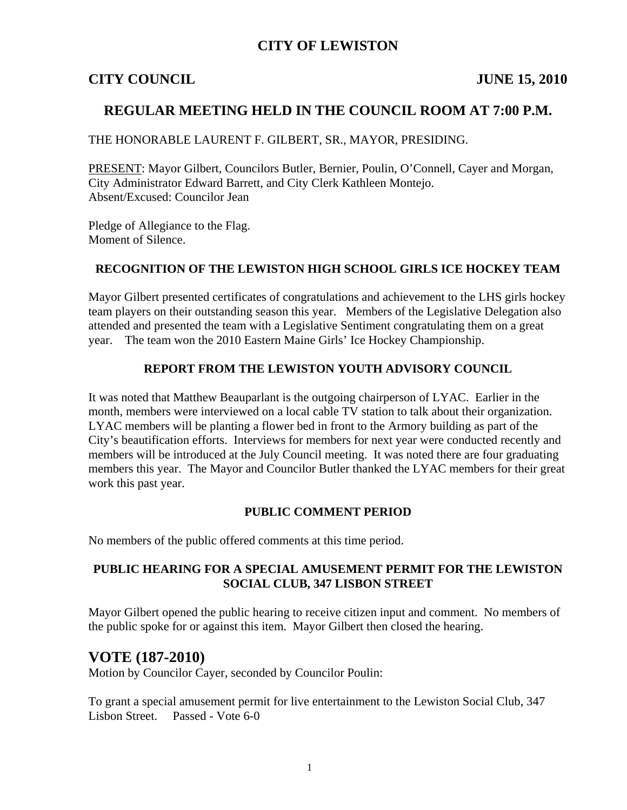### **CITY OF LEWISTON**

#### **CITY COUNCIL JUNE 15, 2010**

### **REGULAR MEETING HELD IN THE COUNCIL ROOM AT 7:00 P.M.**

#### THE HONORABLE LAURENT F. GILBERT, SR., MAYOR, PRESIDING.

PRESENT: Mayor Gilbert, Councilors Butler, Bernier, Poulin, O'Connell, Cayer and Morgan, City Administrator Edward Barrett, and City Clerk Kathleen Montejo. Absent/Excused: Councilor Jean

Pledge of Allegiance to the Flag. Moment of Silence.

#### **RECOGNITION OF THE LEWISTON HIGH SCHOOL GIRLS ICE HOCKEY TEAM**

Mayor Gilbert presented certificates of congratulations and achievement to the LHS girls hockey team players on their outstanding season this year. Members of the Legislative Delegation also attended and presented the team with a Legislative Sentiment congratulating them on a great year. The team won the 2010 Eastern Maine Girls' Ice Hockey Championship.

#### **REPORT FROM THE LEWISTON YOUTH ADVISORY COUNCIL**

It was noted that Matthew Beauparlant is the outgoing chairperson of LYAC. Earlier in the month, members were interviewed on a local cable TV station to talk about their organization. LYAC members will be planting a flower bed in front to the Armory building as part of the City's beautification efforts. Interviews for members for next year were conducted recently and members will be introduced at the July Council meeting. It was noted there are four graduating members this year. The Mayor and Councilor Butler thanked the LYAC members for their great work this past year.

#### **PUBLIC COMMENT PERIOD**

No members of the public offered comments at this time period.

#### **PUBLIC HEARING FOR A SPECIAL AMUSEMENT PERMIT FOR THE LEWISTON SOCIAL CLUB, 347 LISBON STREET**

Mayor Gilbert opened the public hearing to receive citizen input and comment. No members of the public spoke for or against this item. Mayor Gilbert then closed the hearing.

### **VOTE (187-2010)**

Motion by Councilor Cayer, seconded by Councilor Poulin:

To grant a special amusement permit for live entertainment to the Lewiston Social Club, 347 Lisbon Street. Passed - Vote 6-0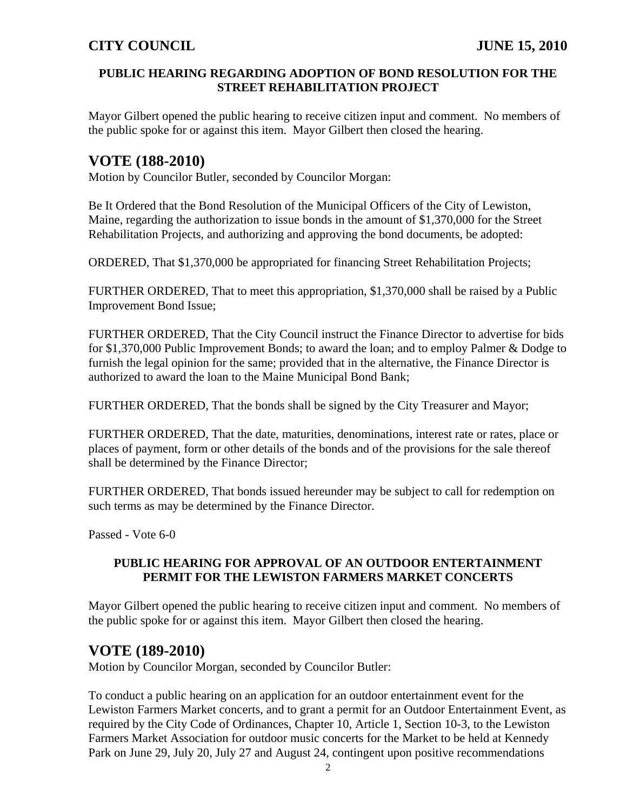#### **PUBLIC HEARING REGARDING ADOPTION OF BOND RESOLUTION FOR THE STREET REHABILITATION PROJECT**

Mayor Gilbert opened the public hearing to receive citizen input and comment. No members of the public spoke for or against this item. Mayor Gilbert then closed the hearing.

# **VOTE (188-2010)**

Motion by Councilor Butler, seconded by Councilor Morgan:

Be It Ordered that the Bond Resolution of the Municipal Officers of the City of Lewiston, Maine, regarding the authorization to issue bonds in the amount of \$1,370,000 for the Street Rehabilitation Projects, and authorizing and approving the bond documents, be adopted:

ORDERED, That \$1,370,000 be appropriated for financing Street Rehabilitation Projects;

FURTHER ORDERED, That to meet this appropriation, \$1,370,000 shall be raised by a Public Improvement Bond Issue;

FURTHER ORDERED, That the City Council instruct the Finance Director to advertise for bids for \$1,370,000 Public Improvement Bonds; to award the loan; and to employ Palmer & Dodge to furnish the legal opinion for the same; provided that in the alternative, the Finance Director is authorized to award the loan to the Maine Municipal Bond Bank;

FURTHER ORDERED, That the bonds shall be signed by the City Treasurer and Mayor;

FURTHER ORDERED, That the date, maturities, denominations, interest rate or rates, place or places of payment, form or other details of the bonds and of the provisions for the sale thereof shall be determined by the Finance Director;

FURTHER ORDERED, That bonds issued hereunder may be subject to call for redemption on such terms as may be determined by the Finance Director.

Passed - Vote 6-0

#### **PUBLIC HEARING FOR APPROVAL OF AN OUTDOOR ENTERTAINMENT PERMIT FOR THE LEWISTON FARMERS MARKET CONCERTS**

Mayor Gilbert opened the public hearing to receive citizen input and comment. No members of the public spoke for or against this item. Mayor Gilbert then closed the hearing.

## **VOTE (189-2010)**

Motion by Councilor Morgan, seconded by Councilor Butler:

To conduct a public hearing on an application for an outdoor entertainment event for the Lewiston Farmers Market concerts, and to grant a permit for an Outdoor Entertainment Event, as required by the City Code of Ordinances, Chapter 10, Article 1, Section 10-3, to the Lewiston Farmers Market Association for outdoor music concerts for the Market to be held at Kennedy Park on June 29, July 20, July 27 and August 24, contingent upon positive recommendations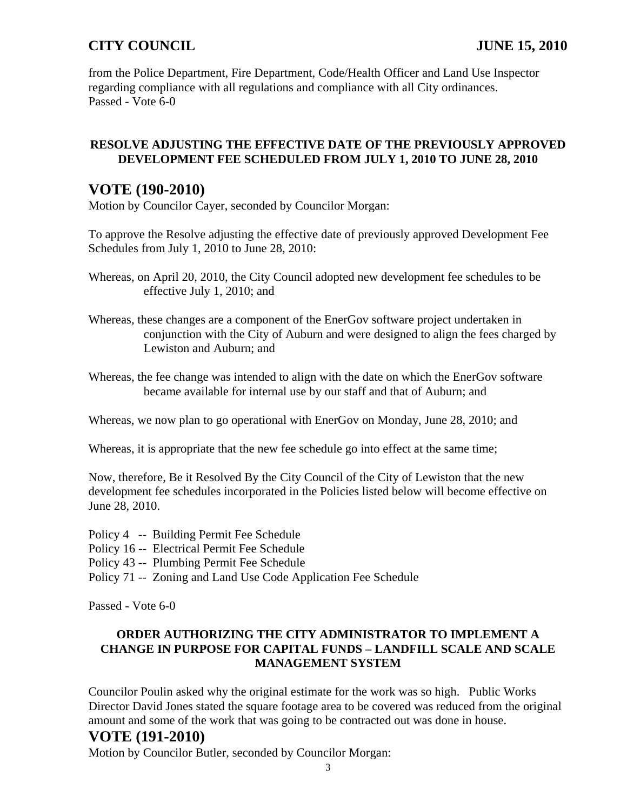from the Police Department, Fire Department, Code/Health Officer and Land Use Inspector regarding compliance with all regulations and compliance with all City ordinances. Passed - Vote 6-0

### **RESOLVE ADJUSTING THE EFFECTIVE DATE OF THE PREVIOUSLY APPROVED DEVELOPMENT FEE SCHEDULED FROM JULY 1, 2010 TO JUNE 28, 2010**

### **VOTE (190-2010)**

Motion by Councilor Cayer, seconded by Councilor Morgan:

To approve the Resolve adjusting the effective date of previously approved Development Fee Schedules from July 1, 2010 to June 28, 2010:

Whereas, on April 20, 2010, the City Council adopted new development fee schedules to be effective July 1, 2010; and

Whereas, these changes are a component of the EnerGov software project undertaken in conjunction with the City of Auburn and were designed to align the fees charged by Lewiston and Auburn; and

Whereas, the fee change was intended to align with the date on which the EnerGov software became available for internal use by our staff and that of Auburn; and

Whereas, we now plan to go operational with EnerGov on Monday, June 28, 2010; and

Whereas, it is appropriate that the new fee schedule go into effect at the same time;

Now, therefore, Be it Resolved By the City Council of the City of Lewiston that the new development fee schedules incorporated in the Policies listed below will become effective on June 28, 2010.

- Policy 4 -- Building Permit Fee Schedule
- Policy 16 -- Electrical Permit Fee Schedule
- Policy 43 -- Plumbing Permit Fee Schedule
- Policy 71 -- Zoning and Land Use Code Application Fee Schedule

Passed - Vote 6-0

### **ORDER AUTHORIZING THE CITY ADMINISTRATOR TO IMPLEMENT A CHANGE IN PURPOSE FOR CAPITAL FUNDS – LANDFILL SCALE AND SCALE MANAGEMENT SYSTEM**

Councilor Poulin asked why the original estimate for the work was so high. Public Works Director David Jones stated the square footage area to be covered was reduced from the original amount and some of the work that was going to be contracted out was done in house.

## **VOTE (191-2010)**

Motion by Councilor Butler, seconded by Councilor Morgan: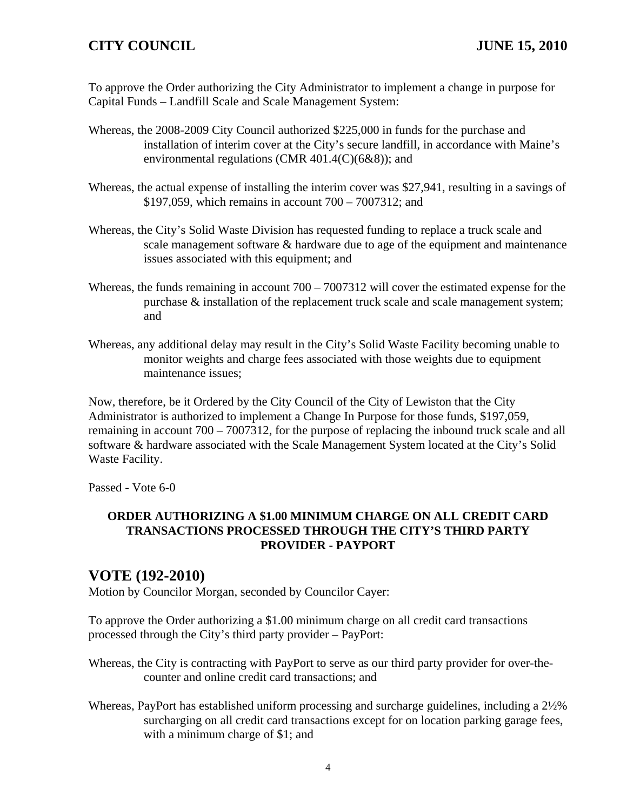To approve the Order authorizing the City Administrator to implement a change in purpose for Capital Funds – Landfill Scale and Scale Management System:

- Whereas, the 2008-2009 City Council authorized \$225,000 in funds for the purchase and installation of interim cover at the City's secure landfill, in accordance with Maine's environmental regulations (CMR 401.4(C)(6&8)); and
- Whereas, the actual expense of installing the interim cover was \$27,941, resulting in a savings of \$197,059, which remains in account 700 – 7007312; and
- Whereas, the City's Solid Waste Division has requested funding to replace a truck scale and scale management software & hardware due to age of the equipment and maintenance issues associated with this equipment; and
- Whereas, the funds remaining in account  $700 7007312$  will cover the estimated expense for the purchase & installation of the replacement truck scale and scale management system; and
- Whereas, any additional delay may result in the City's Solid Waste Facility becoming unable to monitor weights and charge fees associated with those weights due to equipment maintenance issues;

Now, therefore, be it Ordered by the City Council of the City of Lewiston that the City Administrator is authorized to implement a Change In Purpose for those funds, \$197,059, remaining in account 700 – 7007312, for the purpose of replacing the inbound truck scale and all software & hardware associated with the Scale Management System located at the City's Solid Waste Facility.

Passed - Vote 6-0

#### **ORDER AUTHORIZING A \$1.00 MINIMUM CHARGE ON ALL CREDIT CARD TRANSACTIONS PROCESSED THROUGH THE CITY'S THIRD PARTY PROVIDER - PAYPORT**

## **VOTE (192-2010)**

Motion by Councilor Morgan, seconded by Councilor Cayer:

To approve the Order authorizing a \$1.00 minimum charge on all credit card transactions processed through the City's third party provider – PayPort:

- Whereas, the City is contracting with PayPort to serve as our third party provider for over-thecounter and online credit card transactions; and
- Whereas, PayPort has established uniform processing and surcharge guidelines, including a 2½% surcharging on all credit card transactions except for on location parking garage fees, with a minimum charge of \$1; and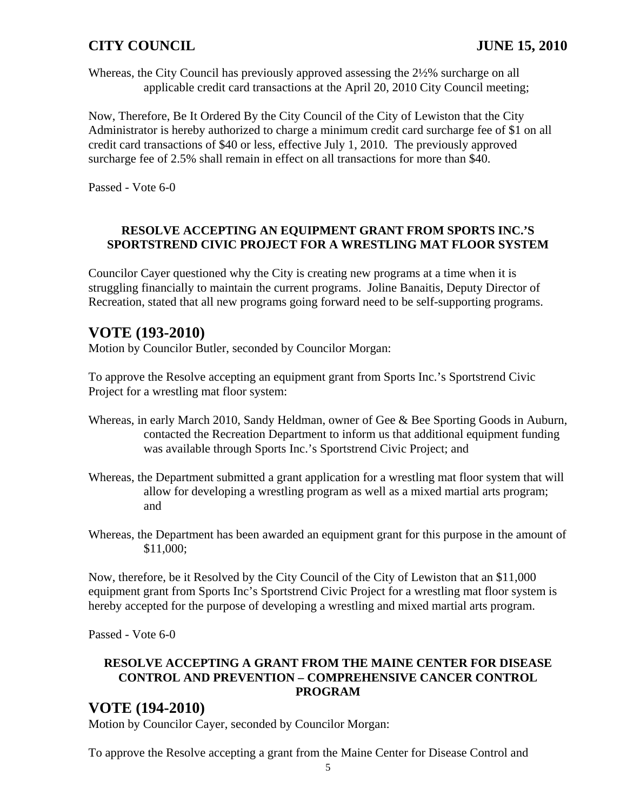Whereas, the City Council has previously approved assessing the 2½% surcharge on all applicable credit card transactions at the April 20, 2010 City Council meeting;

Now, Therefore, Be It Ordered By the City Council of the City of Lewiston that the City Administrator is hereby authorized to charge a minimum credit card surcharge fee of \$1 on all credit card transactions of \$40 or less, effective July 1, 2010. The previously approved surcharge fee of 2.5% shall remain in effect on all transactions for more than \$40.

Passed - Vote 6-0

#### **RESOLVE ACCEPTING AN EQUIPMENT GRANT FROM SPORTS INC.'S SPORTSTREND CIVIC PROJECT FOR A WRESTLING MAT FLOOR SYSTEM**

Councilor Cayer questioned why the City is creating new programs at a time when it is struggling financially to maintain the current programs. Joline Banaitis, Deputy Director of Recreation, stated that all new programs going forward need to be self-supporting programs.

## **VOTE (193-2010)**

Motion by Councilor Butler, seconded by Councilor Morgan:

To approve the Resolve accepting an equipment grant from Sports Inc.'s Sportstrend Civic Project for a wrestling mat floor system:

- Whereas, in early March 2010, Sandy Heldman, owner of Gee & Bee Sporting Goods in Auburn, contacted the Recreation Department to inform us that additional equipment funding was available through Sports Inc.'s Sportstrend Civic Project; and
- Whereas, the Department submitted a grant application for a wrestling mat floor system that will allow for developing a wrestling program as well as a mixed martial arts program; and
- Whereas, the Department has been awarded an equipment grant for this purpose in the amount of \$11,000;

Now, therefore, be it Resolved by the City Council of the City of Lewiston that an \$11,000 equipment grant from Sports Inc's Sportstrend Civic Project for a wrestling mat floor system is hereby accepted for the purpose of developing a wrestling and mixed martial arts program.

Passed - Vote 6-0

### **RESOLVE ACCEPTING A GRANT FROM THE MAINE CENTER FOR DISEASE CONTROL AND PREVENTION – COMPREHENSIVE CANCER CONTROL PROGRAM**

### **VOTE (194-2010)**

Motion by Councilor Cayer, seconded by Councilor Morgan:

To approve the Resolve accepting a grant from the Maine Center for Disease Control and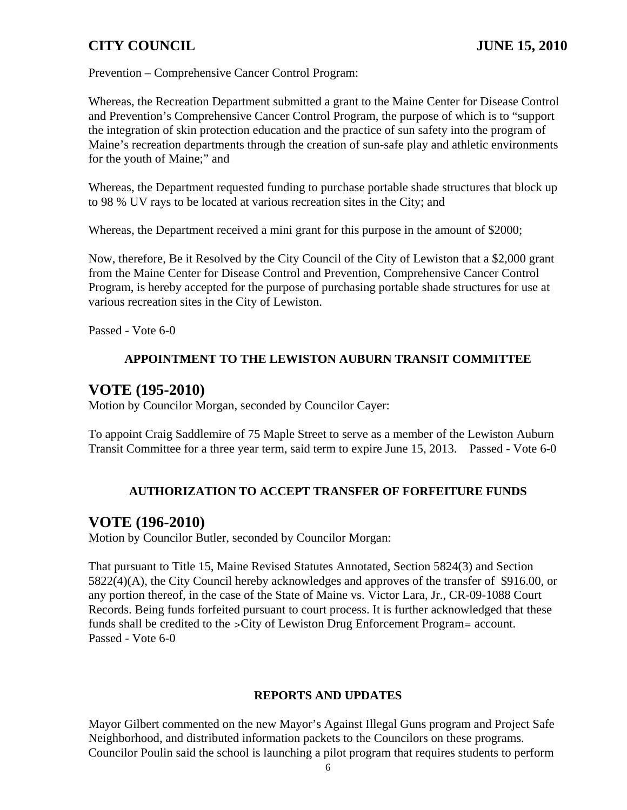Prevention – Comprehensive Cancer Control Program:

Whereas, the Recreation Department submitted a grant to the Maine Center for Disease Control and Prevention's Comprehensive Cancer Control Program, the purpose of which is to "support the integration of skin protection education and the practice of sun safety into the program of Maine's recreation departments through the creation of sun-safe play and athletic environments for the youth of Maine;" and

Whereas, the Department requested funding to purchase portable shade structures that block up to 98 % UV rays to be located at various recreation sites in the City; and

Whereas, the Department received a mini grant for this purpose in the amount of \$2000;

Now, therefore, Be it Resolved by the City Council of the City of Lewiston that a \$2,000 grant from the Maine Center for Disease Control and Prevention, Comprehensive Cancer Control Program, is hereby accepted for the purpose of purchasing portable shade structures for use at various recreation sites in the City of Lewiston.

Passed - Vote 6-0

#### **APPOINTMENT TO THE LEWISTON AUBURN TRANSIT COMMITTEE**

### **VOTE (195-2010)**

Motion by Councilor Morgan, seconded by Councilor Cayer:

To appoint Craig Saddlemire of 75 Maple Street to serve as a member of the Lewiston Auburn Transit Committee for a three year term, said term to expire June 15, 2013. Passed - Vote 6-0

#### **AUTHORIZATION TO ACCEPT TRANSFER OF FORFEITURE FUNDS**

## **VOTE (196-2010)**

Motion by Councilor Butler, seconded by Councilor Morgan:

That pursuant to Title 15, Maine Revised Statutes Annotated, Section 5824(3) and Section 5822(4)(A), the City Council hereby acknowledges and approves of the transfer of \$916.00, or any portion thereof, in the case of the State of Maine vs. Victor Lara, Jr., CR-09-1088 Court Records. Being funds forfeited pursuant to court process. It is further acknowledged that these funds shall be credited to the >City of Lewiston Drug Enforcement Program= account. Passed - Vote 6-0

#### **REPORTS AND UPDATES**

Mayor Gilbert commented on the new Mayor's Against Illegal Guns program and Project Safe Neighborhood, and distributed information packets to the Councilors on these programs. Councilor Poulin said the school is launching a pilot program that requires students to perform